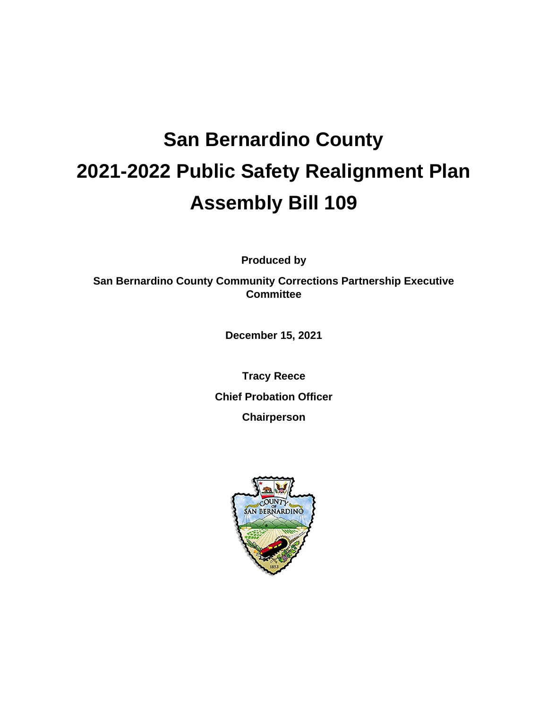# **San Bernardino County 2021-2022 Public Safety Realignment Plan Assembly Bill 109**

**Produced by**

**San Bernardino County Community Corrections Partnership Executive Committee**

**December 15, 2021**

**Tracy Reece Chief Probation Officer Chairperson**

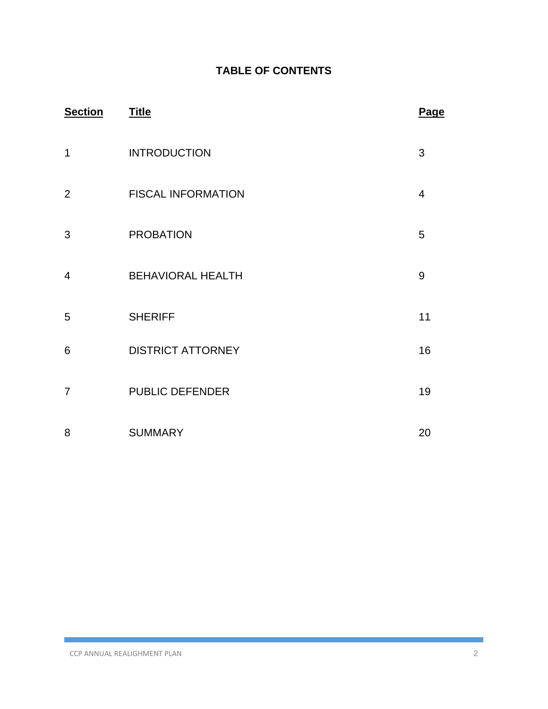# **TABLE OF CONTENTS**

| <b>Section</b> | <b>Title</b>              | Page           |
|----------------|---------------------------|----------------|
| 1              | <b>INTRODUCTION</b>       | 3              |
| 2              | <b>FISCAL INFORMATION</b> | $\overline{4}$ |
| 3              | <b>PROBATION</b>          | 5              |
| $\overline{4}$ | <b>BEHAVIORAL HEALTH</b>  | 9              |
| 5              | <b>SHERIFF</b>            | 11             |
| $6\phantom{1}$ | <b>DISTRICT ATTORNEY</b>  | 16             |
| $\overline{7}$ | <b>PUBLIC DEFENDER</b>    | 19             |
| 8              | <b>SUMMARY</b>            | 20             |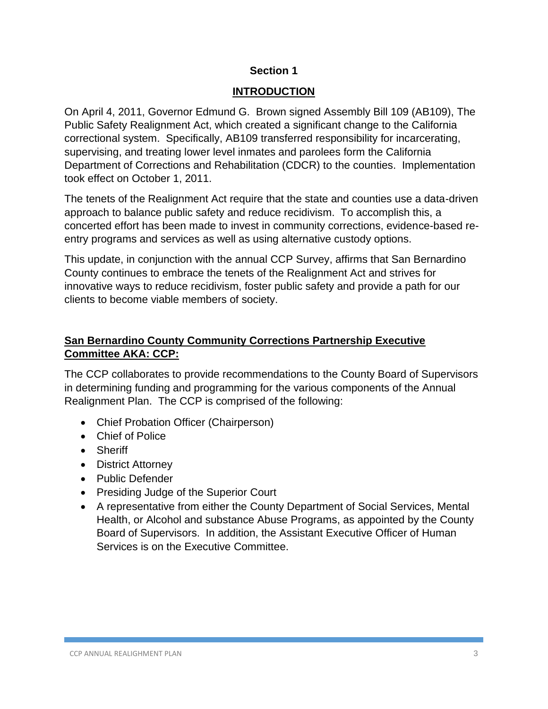## **INTRODUCTION**

On April 4, 2011, Governor Edmund G. Brown signed Assembly Bill 109 (AB109), The Public Safety Realignment Act, which created a significant change to the California correctional system. Specifically, AB109 transferred responsibility for incarcerating, supervising, and treating lower level inmates and parolees form the California Department of Corrections and Rehabilitation (CDCR) to the counties. Implementation took effect on October 1, 2011.

The tenets of the Realignment Act require that the state and counties use a data-driven approach to balance public safety and reduce recidivism. To accomplish this, a concerted effort has been made to invest in community corrections, evidence-based reentry programs and services as well as using alternative custody options.

This update, in conjunction with the annual CCP Survey, affirms that San Bernardino County continues to embrace the tenets of the Realignment Act and strives for innovative ways to reduce recidivism, foster public safety and provide a path for our clients to become viable members of society.

# **San Bernardino County Community Corrections Partnership Executive Committee AKA: CCP:**

The CCP collaborates to provide recommendations to the County Board of Supervisors in determining funding and programming for the various components of the Annual Realignment Plan. The CCP is comprised of the following:

- Chief Probation Officer (Chairperson)
- Chief of Police
- Sheriff
- District Attorney
- Public Defender
- Presiding Judge of the Superior Court
- A representative from either the County Department of Social Services, Mental Health, or Alcohol and substance Abuse Programs, as appointed by the County Board of Supervisors. In addition, the Assistant Executive Officer of Human Services is on the Executive Committee.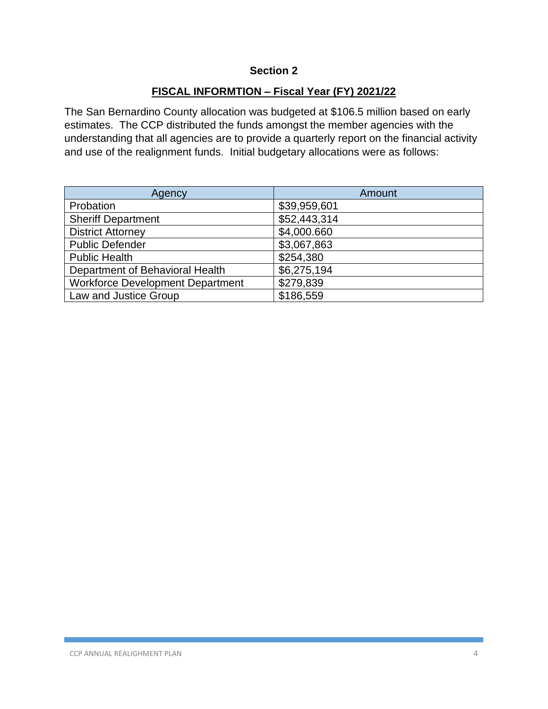## **FISCAL INFORMTION – Fiscal Year (FY) 2021/22**

The San Bernardino County allocation was budgeted at \$106.5 million based on early estimates. The CCP distributed the funds amongst the member agencies with the understanding that all agencies are to provide a quarterly report on the financial activity and use of the realignment funds. Initial budgetary allocations were as follows:

| Agency                                  | Amount       |
|-----------------------------------------|--------------|
| Probation                               | \$39,959,601 |
| <b>Sheriff Department</b>               | \$52,443,314 |
| <b>District Attorney</b>                | \$4,000.660  |
| <b>Public Defender</b>                  | \$3,067,863  |
| <b>Public Health</b>                    | \$254,380    |
| Department of Behavioral Health         | \$6,275,194  |
| <b>Workforce Development Department</b> | \$279,839    |
| Law and Justice Group                   | \$186,559    |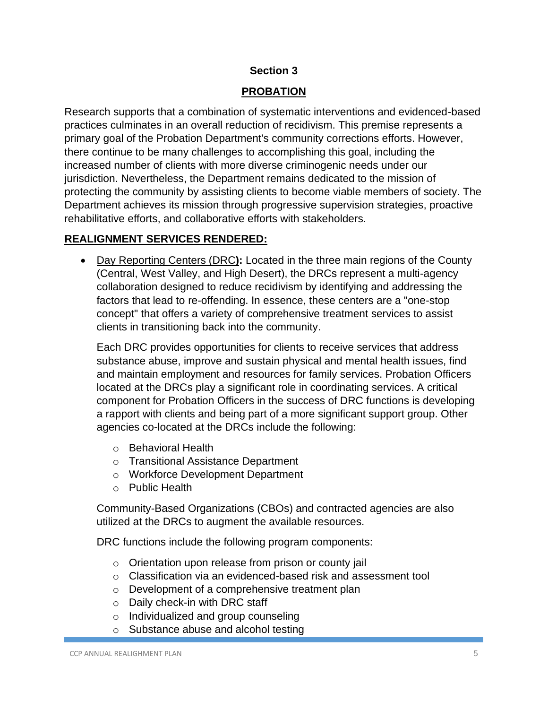## **PROBATION**

Research supports that a combination of systematic interventions and evidenced-based practices culminates in an overall reduction of recidivism. This premise represents a primary goal of the Probation Department's community corrections efforts. However, there continue to be many challenges to accomplishing this goal, including the increased number of clients with more diverse criminogenic needs under our jurisdiction. Nevertheless, the Department remains dedicated to the mission of protecting the community by assisting clients to become viable members of society. The Department achieves its mission through progressive supervision strategies, proactive rehabilitative efforts, and collaborative efforts with stakeholders.

## **REALIGNMENT SERVICES RENDERED:**

• Day Reporting Centers (DRC**):** Located in the three main regions of the County (Central, West Valley, and High Desert), the DRCs represent a multi-agency collaboration designed to reduce recidivism by identifying and addressing the factors that lead to re-offending. In essence, these centers are a "one-stop concept" that offers a variety of comprehensive treatment services to assist clients in transitioning back into the community.

Each DRC provides opportunities for clients to receive services that address substance abuse, improve and sustain physical and mental health issues, find and maintain employment and resources for family services. Probation Officers located at the DRCs play a significant role in coordinating services. A critical component for Probation Officers in the success of DRC functions is developing a rapport with clients and being part of a more significant support group. Other agencies co-located at the DRCs include the following:

- o Behavioral Health
- o Transitional Assistance Department
- o Workforce Development Department
- o Public Health

Community-Based Organizations (CBOs) and contracted agencies are also utilized at the DRCs to augment the available resources.

DRC functions include the following program components:

- o Orientation upon release from prison or county jail
- o Classification via an evidenced-based risk and assessment tool
- o Development of a comprehensive treatment plan
- o Daily check-in with DRC staff
- o Individualized and group counseling
- o Substance abuse and alcohol testing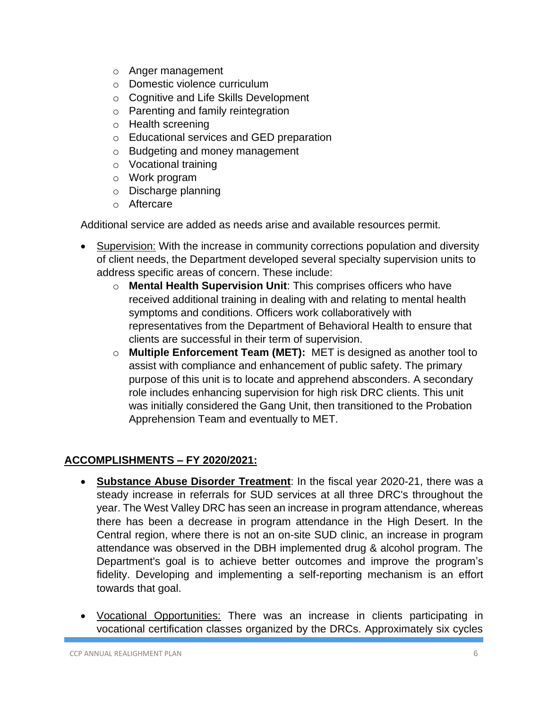- o Anger management
- o Domestic violence curriculum
- o Cognitive and Life Skills Development
- o Parenting and family reintegration
- o Health screening
- o Educational services and GED preparation
- o Budgeting and money management
- o Vocational training
- o Work program
- o Discharge planning
- o Aftercare

Additional service are added as needs arise and available resources permit.

- Supervision: With the increase in community corrections population and diversity of client needs, the Department developed several specialty supervision units to address specific areas of concern. These include:
	- o **Mental Health Supervision Unit**: This comprises officers who have received additional training in dealing with and relating to mental health symptoms and conditions. Officers work collaboratively with representatives from the Department of Behavioral Health to ensure that clients are successful in their term of supervision.
	- o **Multiple Enforcement Team (MET):** MET is designed as another tool to assist with compliance and enhancement of public safety. The primary purpose of this unit is to locate and apprehend absconders. A secondary role includes enhancing supervision for high risk DRC clients. This unit was initially considered the Gang Unit, then transitioned to the Probation Apprehension Team and eventually to MET.

# **ACCOMPLISHMENTS – FY 2020/2021:**

- **Substance Abuse Disorder Treatment**: In the fiscal year 2020-21, there was a steady increase in referrals for SUD services at all three DRC's throughout the year. The West Valley DRC has seen an increase in program attendance, whereas there has been a decrease in program attendance in the High Desert. In the Central region, where there is not an on-site SUD clinic, an increase in program attendance was observed in the DBH implemented drug & alcohol program. The Department's goal is to achieve better outcomes and improve the program's fidelity. Developing and implementing a self-reporting mechanism is an effort towards that goal.
- Vocational Opportunities: There was an increase in clients participating in vocational certification classes organized by the DRCs. Approximately six cycles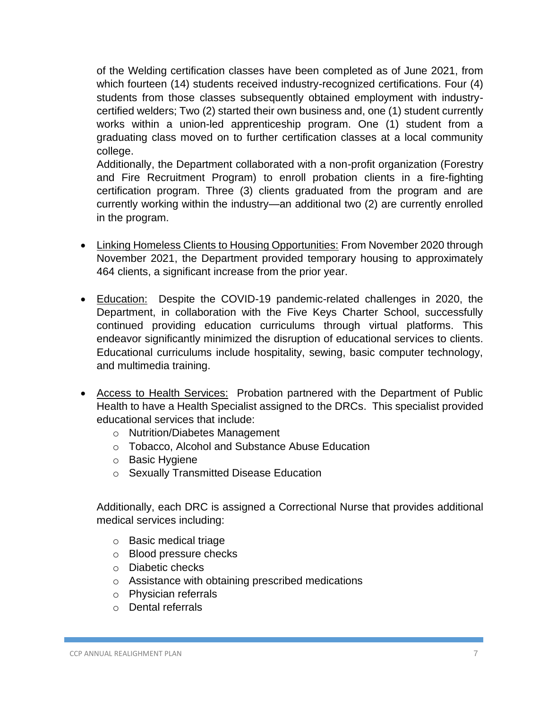of the Welding certification classes have been completed as of June 2021, from which fourteen (14) students received industry-recognized certifications. Four (4) students from those classes subsequently obtained employment with industrycertified welders; Two (2) started their own business and, one (1) student currently works within a union-led apprenticeship program. One (1) student from a graduating class moved on to further certification classes at a local community college.

Additionally, the Department collaborated with a non-profit organization (Forestry and Fire Recruitment Program) to enroll probation clients in a fire-fighting certification program. Three (3) clients graduated from the program and are currently working within the industry—an additional two (2) are currently enrolled in the program.

- Linking Homeless Clients to Housing Opportunities: From November 2020 through November 2021, the Department provided temporary housing to approximately 464 clients, a significant increase from the prior year.
- Education: Despite the COVID-19 pandemic-related challenges in 2020, the Department, in collaboration with the Five Keys Charter School, successfully continued providing education curriculums through virtual platforms. This endeavor significantly minimized the disruption of educational services to clients. Educational curriculums include hospitality, sewing, basic computer technology, and multimedia training.
- Access to Health Services: Probation partnered with the Department of Public Health to have a Health Specialist assigned to the DRCs. This specialist provided educational services that include:
	- o Nutrition/Diabetes Management
	- o Tobacco, Alcohol and Substance Abuse Education
	- o Basic Hygiene
	- o Sexually Transmitted Disease Education

Additionally, each DRC is assigned a Correctional Nurse that provides additional medical services including:

- o Basic medical triage
- o Blood pressure checks
- o Diabetic checks
- o Assistance with obtaining prescribed medications
- o Physician referrals
- o Dental referrals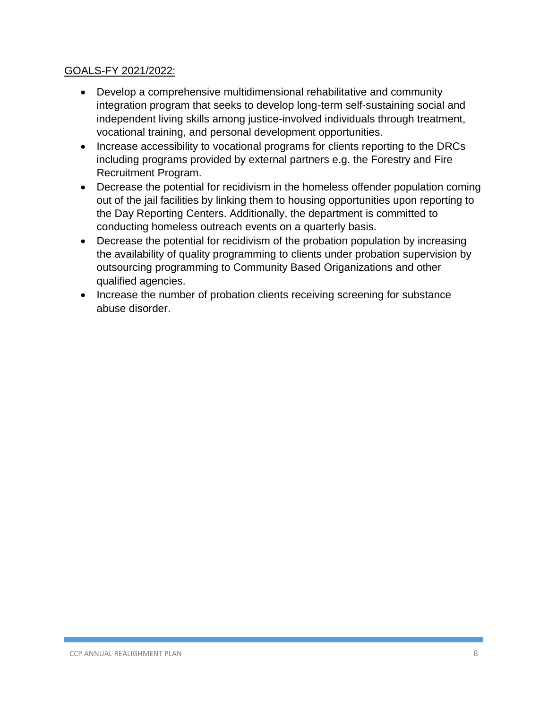## GOALS-FY 2021/2022:

- Develop a comprehensive multidimensional rehabilitative and community integration program that seeks to develop long-term self-sustaining social and independent living skills among justice-involved individuals through treatment, vocational training, and personal development opportunities.
- Increase accessibility to vocational programs for clients reporting to the DRCs including programs provided by external partners e.g. the Forestry and Fire Recruitment Program.
- Decrease the potential for recidivism in the homeless offender population coming out of the jail facilities by linking them to housing opportunities upon reporting to the Day Reporting Centers. Additionally, the department is committed to conducting homeless outreach events on a quarterly basis.
- Decrease the potential for recidivism of the probation population by increasing the availability of quality programming to clients under probation supervision by outsourcing programming to Community Based Origanizations and other qualified agencies.
- Increase the number of probation clients receiving screening for substance abuse disorder.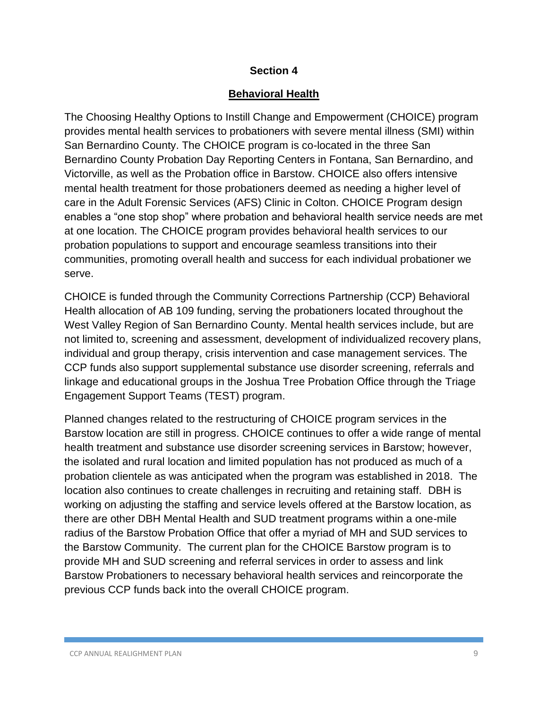## **Behavioral Health**

The Choosing Healthy Options to Instill Change and Empowerment (CHOICE) program provides mental health services to probationers with severe mental illness (SMI) within San Bernardino County. The CHOICE program is co-located in the three San Bernardino County Probation Day Reporting Centers in Fontana, San Bernardino, and Victorville, as well as the Probation office in Barstow. CHOICE also offers intensive mental health treatment for those probationers deemed as needing a higher level of care in the Adult Forensic Services (AFS) Clinic in Colton. CHOICE Program design enables a "one stop shop" where probation and behavioral health service needs are met at one location. The CHOICE program provides behavioral health services to our probation populations to support and encourage seamless transitions into their communities, promoting overall health and success for each individual probationer we serve.

CHOICE is funded through the Community Corrections Partnership (CCP) Behavioral Health allocation of AB 109 funding, serving the probationers located throughout the West Valley Region of San Bernardino County. Mental health services include, but are not limited to, screening and assessment, development of individualized recovery plans, individual and group therapy, crisis intervention and case management services. The CCP funds also support supplemental substance use disorder screening, referrals and linkage and educational groups in the Joshua Tree Probation Office through the Triage Engagement Support Teams (TEST) program.

Planned changes related to the restructuring of CHOICE program services in the Barstow location are still in progress. CHOICE continues to offer a wide range of mental health treatment and substance use disorder screening services in Barstow; however, the isolated and rural location and limited population has not produced as much of a probation clientele as was anticipated when the program was established in 2018. The location also continues to create challenges in recruiting and retaining staff. DBH is working on adjusting the staffing and service levels offered at the Barstow location, as there are other DBH Mental Health and SUD treatment programs within a one-mile radius of the Barstow Probation Office that offer a myriad of MH and SUD services to the Barstow Community. The current plan for the CHOICE Barstow program is to provide MH and SUD screening and referral services in order to assess and link Barstow Probationers to necessary behavioral health services and reincorporate the previous CCP funds back into the overall CHOICE program.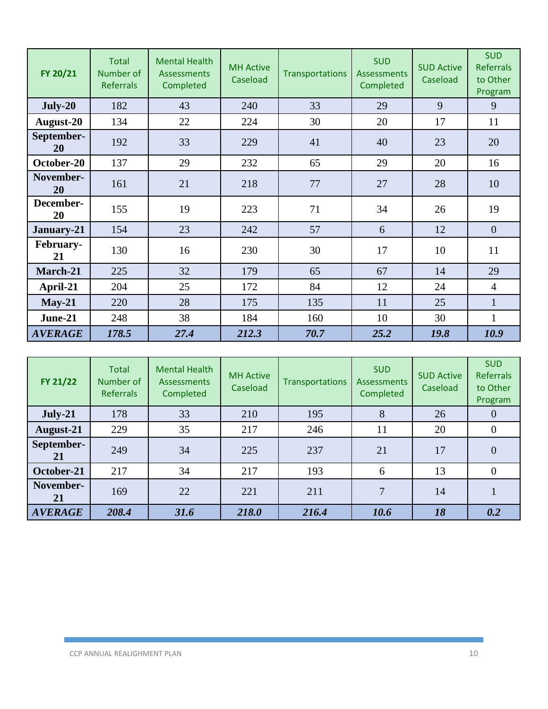| FY 20/21               | <b>Total</b><br>Number of<br><b>Referrals</b> | <b>Mental Health</b><br><b>Assessments</b><br>Completed | <b>MH Active</b><br>Caseload | <b>Transportations</b> | <b>SUD</b><br><b>Assessments</b><br>Completed | <b>SUD Active</b><br>Caseload | <b>SUD</b><br><b>Referrals</b><br>to Other<br>Program |
|------------------------|-----------------------------------------------|---------------------------------------------------------|------------------------------|------------------------|-----------------------------------------------|-------------------------------|-------------------------------------------------------|
| July-20                | 182                                           | 43                                                      | 240                          | 33                     | 29                                            | 9                             | 9                                                     |
| August-20              | 134                                           | 22                                                      | 224                          | 30                     | 20                                            | 17                            | 11                                                    |
| September-<br>20       | 192                                           | 33                                                      | 229                          | 41                     | 40                                            | 23                            | 20                                                    |
| October-20             | 137                                           | 29                                                      | 232                          | 65                     | 29                                            | 20                            | 16                                                    |
| November-<br>20        | 161                                           | 21                                                      | 218                          | 77                     | 27                                            | 28                            | 10                                                    |
| December-<br>20        | 155                                           | 19                                                      | 223                          | 71                     | 34                                            | 26                            | 19                                                    |
| January-21             | 154                                           | 23                                                      | 242                          | 57                     | 6                                             | 12                            | $\overline{0}$                                        |
| <b>February-</b><br>21 | 130                                           | 16                                                      | 230                          | 30                     | 17                                            | 10                            | 11                                                    |
| March-21               | 225                                           | 32                                                      | 179                          | 65                     | 67                                            | 14                            | 29                                                    |
| April-21               | 204                                           | 25                                                      | 172                          | 84                     | 12                                            | 24                            | $\overline{4}$                                        |
| $May-21$               | 220                                           | 28                                                      | 175                          | 135                    | 11                                            | 25                            | $\mathbf{1}$                                          |
| June-21                | 248                                           | 38                                                      | 184                          | 160                    | 10                                            | 30                            | 1                                                     |
| <b>AVERAGE</b>         | 178.5                                         | 27.4                                                    | 212.3                        | 70.7                   | 25.2                                          | 19.8                          | 10.9                                                  |

| FY 21/22         | <b>Total</b><br>Number of<br><b>Referrals</b> | <b>Mental Health</b><br>Assessments<br>Completed | <b>MH Active</b><br>Caseload | <b>Transportations</b> | <b>SUD</b><br><b>Assessments</b><br>Completed | <b>SUD Active</b><br>Caseload | <b>SUD</b><br><b>Referrals</b><br>to Other<br>Program |
|------------------|-----------------------------------------------|--------------------------------------------------|------------------------------|------------------------|-----------------------------------------------|-------------------------------|-------------------------------------------------------|
| $July-21$        | 178                                           | 33                                               | 210                          | 195                    | 8                                             | 26                            | $\theta$                                              |
| August-21        | 229                                           | 35                                               | 217                          | 246                    | 11                                            | 20                            | $\overline{0}$                                        |
| September-<br>21 | 249                                           | 34                                               | 225                          | 237                    | 21                                            | 17                            | $\overline{0}$                                        |
| October-21       | 217                                           | 34                                               | 217                          | 193                    | 6                                             | 13                            | $\Omega$                                              |
| November-<br>21  | 169                                           | 22                                               | 221                          | 211                    | $\overline{7}$                                | 14                            |                                                       |
| <b>AVERAGE</b>   | 208.4                                         | 31.6                                             | 218.0                        | 216.4                  | 10.6                                          | 18                            | 0.2                                                   |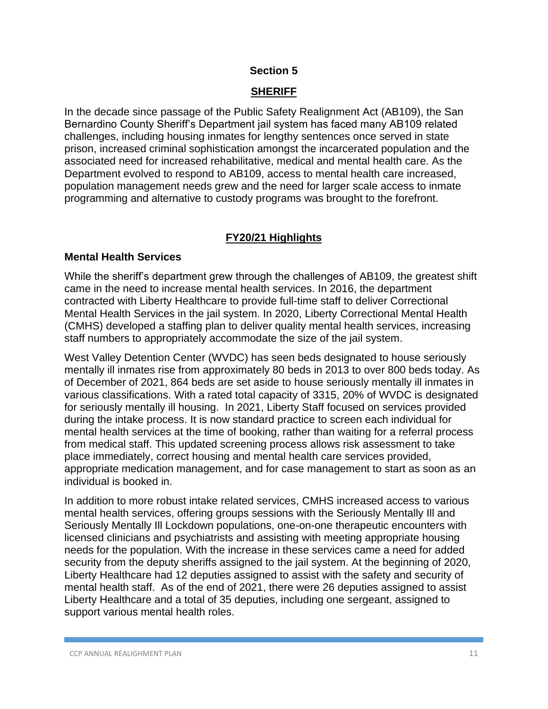## **SHERIFF**

In the decade since passage of the Public Safety Realignment Act (AB109), the San Bernardino County Sheriff's Department jail system has faced many AB109 related challenges, including housing inmates for lengthy sentences once served in state prison, increased criminal sophistication amongst the incarcerated population and the associated need for increased rehabilitative, medical and mental health care. As the Department evolved to respond to AB109, access to mental health care increased, population management needs grew and the need for larger scale access to inmate programming and alternative to custody programs was brought to the forefront.

## **FY20/21 Highlights**

## **Mental Health Services**

While the sheriff's department grew through the challenges of AB109, the greatest shift came in the need to increase mental health services. In 2016, the department contracted with Liberty Healthcare to provide full-time staff to deliver Correctional Mental Health Services in the jail system. In 2020, Liberty Correctional Mental Health (CMHS) developed a staffing plan to deliver quality mental health services, increasing staff numbers to appropriately accommodate the size of the jail system.

West Valley Detention Center (WVDC) has seen beds designated to house seriously mentally ill inmates rise from approximately 80 beds in 2013 to over 800 beds today. As of December of 2021, 864 beds are set aside to house seriously mentally ill inmates in various classifications. With a rated total capacity of 3315, 20% of WVDC is designated for seriously mentally ill housing. In 2021, Liberty Staff focused on services provided during the intake process. It is now standard practice to screen each individual for mental health services at the time of booking, rather than waiting for a referral process from medical staff. This updated screening process allows risk assessment to take place immediately, correct housing and mental health care services provided, appropriate medication management, and for case management to start as soon as an individual is booked in.

In addition to more robust intake related services, CMHS increased access to various mental health services, offering groups sessions with the Seriously Mentally Ill and Seriously Mentally Ill Lockdown populations, one-on-one therapeutic encounters with licensed clinicians and psychiatrists and assisting with meeting appropriate housing needs for the population. With the increase in these services came a need for added security from the deputy sheriffs assigned to the jail system. At the beginning of 2020, Liberty Healthcare had 12 deputies assigned to assist with the safety and security of mental health staff. As of the end of 2021, there were 26 deputies assigned to assist Liberty Healthcare and a total of 35 deputies, including one sergeant, assigned to support various mental health roles.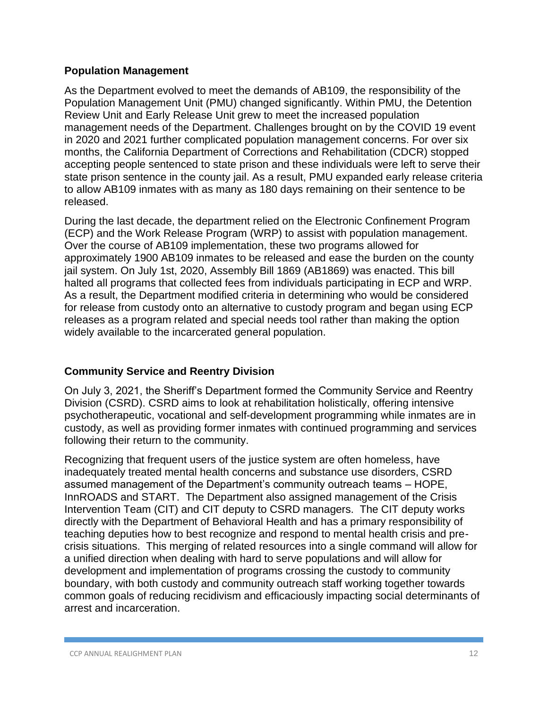#### **Population Management**

As the Department evolved to meet the demands of AB109, the responsibility of the Population Management Unit (PMU) changed significantly. Within PMU, the Detention Review Unit and Early Release Unit grew to meet the increased population management needs of the Department. Challenges brought on by the COVID 19 event in 2020 and 2021 further complicated population management concerns. For over six months, the California Department of Corrections and Rehabilitation (CDCR) stopped accepting people sentenced to state prison and these individuals were left to serve their state prison sentence in the county jail. As a result, PMU expanded early release criteria to allow AB109 inmates with as many as 180 days remaining on their sentence to be released.

During the last decade, the department relied on the Electronic Confinement Program (ECP) and the Work Release Program (WRP) to assist with population management. Over the course of AB109 implementation, these two programs allowed for approximately 1900 AB109 inmates to be released and ease the burden on the county jail system. On July 1st, 2020, Assembly Bill 1869 (AB1869) was enacted. This bill halted all programs that collected fees from individuals participating in ECP and WRP. As a result, the Department modified criteria in determining who would be considered for release from custody onto an alternative to custody program and began using ECP releases as a program related and special needs tool rather than making the option widely available to the incarcerated general population.

## **Community Service and Reentry Division**

On July 3, 2021, the Sheriff's Department formed the Community Service and Reentry Division (CSRD). CSRD aims to look at rehabilitation holistically, offering intensive psychotherapeutic, vocational and self-development programming while inmates are in custody, as well as providing former inmates with continued programming and services following their return to the community.

Recognizing that frequent users of the justice system are often homeless, have inadequately treated mental health concerns and substance use disorders, CSRD assumed management of the Department's community outreach teams – HOPE, InnROADS and START. The Department also assigned management of the Crisis Intervention Team (CIT) and CIT deputy to CSRD managers. The CIT deputy works directly with the Department of Behavioral Health and has a primary responsibility of teaching deputies how to best recognize and respond to mental health crisis and precrisis situations. This merging of related resources into a single command will allow for a unified direction when dealing with hard to serve populations and will allow for development and implementation of programs crossing the custody to community boundary, with both custody and community outreach staff working together towards common goals of reducing recidivism and efficaciously impacting social determinants of arrest and incarceration.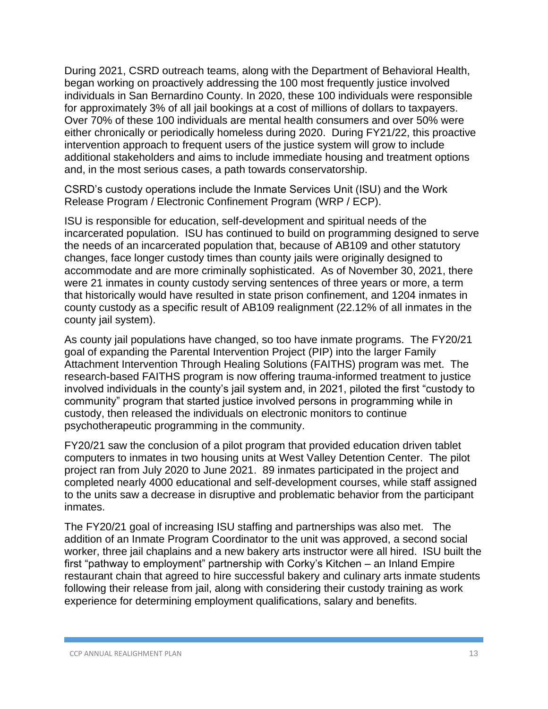During 2021, CSRD outreach teams, along with the Department of Behavioral Health, began working on proactively addressing the 100 most frequently justice involved individuals in San Bernardino County. In 2020, these 100 individuals were responsible for approximately 3% of all jail bookings at a cost of millions of dollars to taxpayers. Over 70% of these 100 individuals are mental health consumers and over 50% were either chronically or periodically homeless during 2020. During FY21/22, this proactive intervention approach to frequent users of the justice system will grow to include additional stakeholders and aims to include immediate housing and treatment options and, in the most serious cases, a path towards conservatorship.

CSRD's custody operations include the Inmate Services Unit (ISU) and the Work Release Program / Electronic Confinement Program (WRP / ECP).

ISU is responsible for education, self-development and spiritual needs of the incarcerated population. ISU has continued to build on programming designed to serve the needs of an incarcerated population that, because of AB109 and other statutory changes, face longer custody times than county jails were originally designed to accommodate and are more criminally sophisticated. As of November 30, 2021, there were 21 inmates in county custody serving sentences of three years or more, a term that historically would have resulted in state prison confinement, and 1204 inmates in county custody as a specific result of AB109 realignment (22.12% of all inmates in the county jail system).

As county jail populations have changed, so too have inmate programs. The FY20/21 goal of expanding the Parental Intervention Project (PIP) into the larger Family Attachment Intervention Through Healing Solutions (FAITHS) program was met. The research-based FAITHS program is now offering trauma-informed treatment to justice involved individuals in the county's jail system and, in 2021, piloted the first "custody to community" program that started justice involved persons in programming while in custody, then released the individuals on electronic monitors to continue psychotherapeutic programming in the community.

FY20/21 saw the conclusion of a pilot program that provided education driven tablet computers to inmates in two housing units at West Valley Detention Center. The pilot project ran from July 2020 to June 2021. 89 inmates participated in the project and completed nearly 4000 educational and self-development courses, while staff assigned to the units saw a decrease in disruptive and problematic behavior from the participant inmates.

The FY20/21 goal of increasing ISU staffing and partnerships was also met. The addition of an Inmate Program Coordinator to the unit was approved, a second social worker, three jail chaplains and a new bakery arts instructor were all hired. ISU built the first "pathway to employment" partnership with Corky's Kitchen – an Inland Empire restaurant chain that agreed to hire successful bakery and culinary arts inmate students following their release from jail, along with considering their custody training as work experience for determining employment qualifications, salary and benefits.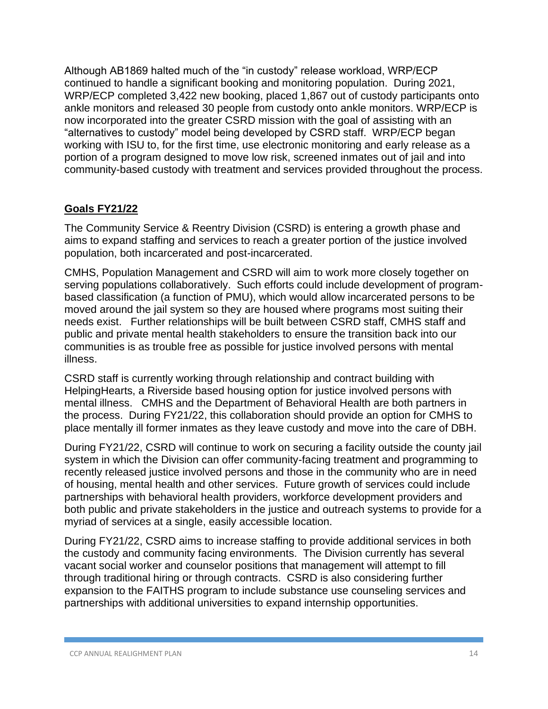Although AB1869 halted much of the "in custody" release workload, WRP/ECP continued to handle a significant booking and monitoring population. During 2021, WRP/ECP completed 3,422 new booking, placed 1,867 out of custody participants onto ankle monitors and released 30 people from custody onto ankle monitors. WRP/ECP is now incorporated into the greater CSRD mission with the goal of assisting with an "alternatives to custody" model being developed by CSRD staff. WRP/ECP began working with ISU to, for the first time, use electronic monitoring and early release as a portion of a program designed to move low risk, screened inmates out of jail and into community-based custody with treatment and services provided throughout the process.

# **Goals FY21/22**

The Community Service & Reentry Division (CSRD) is entering a growth phase and aims to expand staffing and services to reach a greater portion of the justice involved population, both incarcerated and post-incarcerated.

CMHS, Population Management and CSRD will aim to work more closely together on serving populations collaboratively. Such efforts could include development of programbased classification (a function of PMU), which would allow incarcerated persons to be moved around the jail system so they are housed where programs most suiting their needs exist. Further relationships will be built between CSRD staff, CMHS staff and public and private mental health stakeholders to ensure the transition back into our communities is as trouble free as possible for justice involved persons with mental illness.

CSRD staff is currently working through relationship and contract building with HelpingHearts, a Riverside based housing option for justice involved persons with mental illness. CMHS and the Department of Behavioral Health are both partners in the process. During FY21/22, this collaboration should provide an option for CMHS to place mentally ill former inmates as they leave custody and move into the care of DBH.

During FY21/22, CSRD will continue to work on securing a facility outside the county jail system in which the Division can offer community-facing treatment and programming to recently released justice involved persons and those in the community who are in need of housing, mental health and other services. Future growth of services could include partnerships with behavioral health providers, workforce development providers and both public and private stakeholders in the justice and outreach systems to provide for a myriad of services at a single, easily accessible location.

During FY21/22, CSRD aims to increase staffing to provide additional services in both the custody and community facing environments. The Division currently has several vacant social worker and counselor positions that management will attempt to fill through traditional hiring or through contracts. CSRD is also considering further expansion to the FAITHS program to include substance use counseling services and partnerships with additional universities to expand internship opportunities.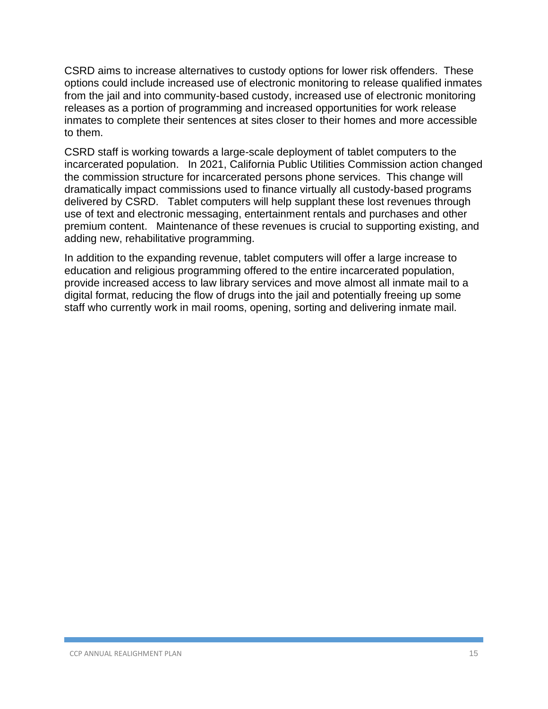CSRD aims to increase alternatives to custody options for lower risk offenders. These options could include increased use of electronic monitoring to release qualified inmates from the jail and into community-based custody, increased use of electronic monitoring releases as a portion of programming and increased opportunities for work release inmates to complete their sentences at sites closer to their homes and more accessible to them.

CSRD staff is working towards a large-scale deployment of tablet computers to the incarcerated population. In 2021, California Public Utilities Commission action changed the commission structure for incarcerated persons phone services. This change will dramatically impact commissions used to finance virtually all custody-based programs delivered by CSRD. Tablet computers will help supplant these lost revenues through use of text and electronic messaging, entertainment rentals and purchases and other premium content. Maintenance of these revenues is crucial to supporting existing, and adding new, rehabilitative programming.

In addition to the expanding revenue, tablet computers will offer a large increase to education and religious programming offered to the entire incarcerated population, provide increased access to law library services and move almost all inmate mail to a digital format, reducing the flow of drugs into the jail and potentially freeing up some staff who currently work in mail rooms, opening, sorting and delivering inmate mail.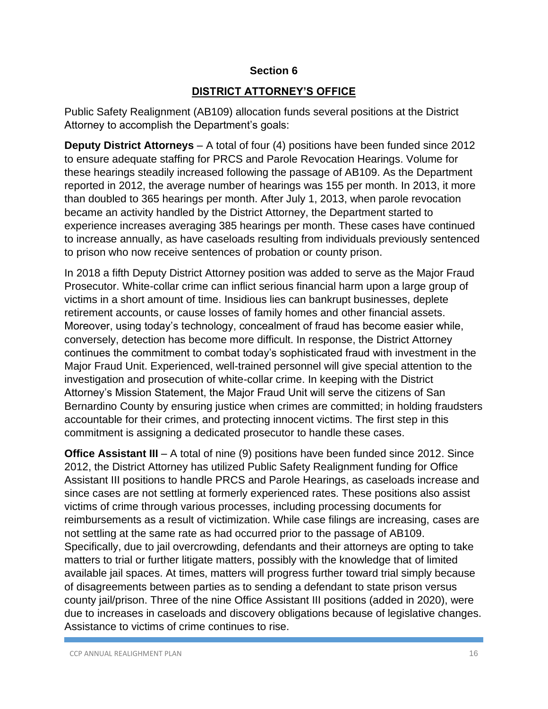## **DISTRICT ATTORNEY'S OFFICE**

Public Safety Realignment (AB109) allocation funds several positions at the District Attorney to accomplish the Department's goals:

**Deputy District Attorneys** – A total of four (4) positions have been funded since 2012 to ensure adequate staffing for PRCS and Parole Revocation Hearings. Volume for these hearings steadily increased following the passage of AB109. As the Department reported in 2012, the average number of hearings was 155 per month. In 2013, it more than doubled to 365 hearings per month. After July 1, 2013, when parole revocation became an activity handled by the District Attorney, the Department started to experience increases averaging 385 hearings per month. These cases have continued to increase annually, as have caseloads resulting from individuals previously sentenced to prison who now receive sentences of probation or county prison.

In 2018 a fifth Deputy District Attorney position was added to serve as the Major Fraud Prosecutor. White-collar crime can inflict serious financial harm upon a large group of victims in a short amount of time. Insidious lies can bankrupt businesses, deplete retirement accounts, or cause losses of family homes and other financial assets. Moreover, using today's technology, concealment of fraud has become easier while, conversely, detection has become more difficult. In response, the District Attorney continues the commitment to combat today's sophisticated fraud with investment in the Major Fraud Unit. Experienced, well-trained personnel will give special attention to the investigation and prosecution of white-collar crime. In keeping with the District Attorney's Mission Statement, the Major Fraud Unit will serve the citizens of San Bernardino County by ensuring justice when crimes are committed; in holding fraudsters accountable for their crimes, and protecting innocent victims. The first step in this commitment is assigning a dedicated prosecutor to handle these cases.

**Office Assistant III** – A total of nine (9) positions have been funded since 2012. Since 2012, the District Attorney has utilized Public Safety Realignment funding for Office Assistant III positions to handle PRCS and Parole Hearings, as caseloads increase and since cases are not settling at formerly experienced rates. These positions also assist victims of crime through various processes, including processing documents for reimbursements as a result of victimization. While case filings are increasing, cases are not settling at the same rate as had occurred prior to the passage of AB109. Specifically, due to jail overcrowding, defendants and their attorneys are opting to take matters to trial or further litigate matters, possibly with the knowledge that of limited available jail spaces. At times, matters will progress further toward trial simply because of disagreements between parties as to sending a defendant to state prison versus county jail/prison. Three of the nine Office Assistant III positions (added in 2020), were due to increases in caseloads and discovery obligations because of legislative changes. Assistance to victims of crime continues to rise.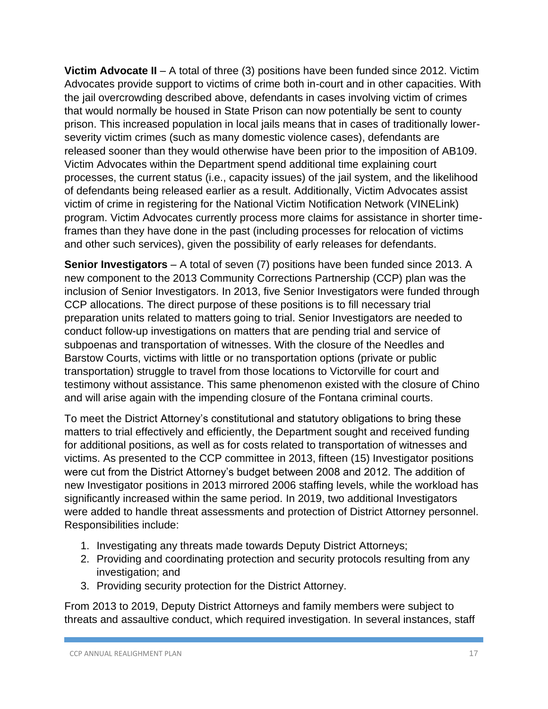**Victim Advocate II** – A total of three (3) positions have been funded since 2012. Victim Advocates provide support to victims of crime both in-court and in other capacities. With the jail overcrowding described above, defendants in cases involving victim of crimes that would normally be housed in State Prison can now potentially be sent to county prison. This increased population in local jails means that in cases of traditionally lowerseverity victim crimes (such as many domestic violence cases), defendants are released sooner than they would otherwise have been prior to the imposition of AB109. Victim Advocates within the Department spend additional time explaining court processes, the current status (i.e., capacity issues) of the jail system, and the likelihood of defendants being released earlier as a result. Additionally, Victim Advocates assist victim of crime in registering for the National Victim Notification Network (VINELink) program. Victim Advocates currently process more claims for assistance in shorter timeframes than they have done in the past (including processes for relocation of victims and other such services), given the possibility of early releases for defendants.

**Senior Investigators** – A total of seven (7) positions have been funded since 2013. A new component to the 2013 Community Corrections Partnership (CCP) plan was the inclusion of Senior Investigators. In 2013, five Senior Investigators were funded through CCP allocations. The direct purpose of these positions is to fill necessary trial preparation units related to matters going to trial. Senior Investigators are needed to conduct follow-up investigations on matters that are pending trial and service of subpoenas and transportation of witnesses. With the closure of the Needles and Barstow Courts, victims with little or no transportation options (private or public transportation) struggle to travel from those locations to Victorville for court and testimony without assistance. This same phenomenon existed with the closure of Chino and will arise again with the impending closure of the Fontana criminal courts.

To meet the District Attorney's constitutional and statutory obligations to bring these matters to trial effectively and efficiently, the Department sought and received funding for additional positions, as well as for costs related to transportation of witnesses and victims. As presented to the CCP committee in 2013, fifteen (15) Investigator positions were cut from the District Attorney's budget between 2008 and 2012. The addition of new Investigator positions in 2013 mirrored 2006 staffing levels, while the workload has significantly increased within the same period. In 2019, two additional Investigators were added to handle threat assessments and protection of District Attorney personnel. Responsibilities include:

- 1. Investigating any threats made towards Deputy District Attorneys;
- 2. Providing and coordinating protection and security protocols resulting from any investigation; and
- 3. Providing security protection for the District Attorney.

From 2013 to 2019, Deputy District Attorneys and family members were subject to threats and assaultive conduct, which required investigation. In several instances, staff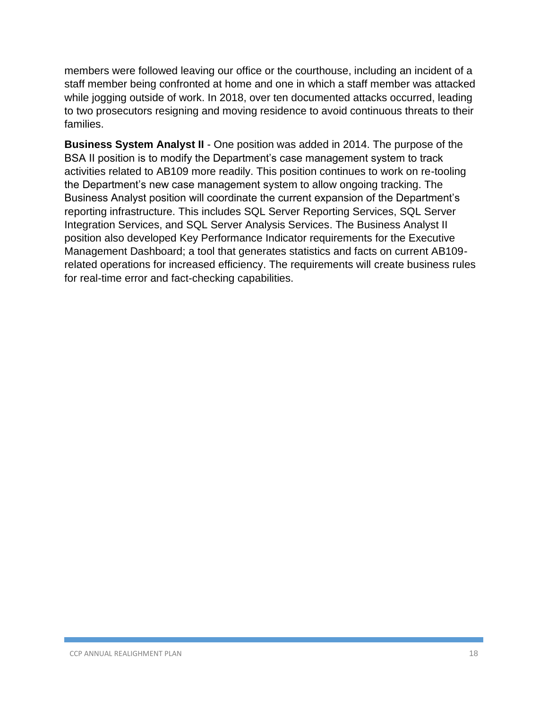members were followed leaving our office or the courthouse, including an incident of a staff member being confronted at home and one in which a staff member was attacked while jogging outside of work. In 2018, over ten documented attacks occurred, leading to two prosecutors resigning and moving residence to avoid continuous threats to their families.

**Business System Analyst II** - One position was added in 2014. The purpose of the BSA II position is to modify the Department's case management system to track activities related to AB109 more readily. This position continues to work on re-tooling the Department's new case management system to allow ongoing tracking. The Business Analyst position will coordinate the current expansion of the Department's reporting infrastructure. This includes SQL Server Reporting Services, SQL Server Integration Services, and SQL Server Analysis Services. The Business Analyst II position also developed Key Performance Indicator requirements for the Executive Management Dashboard; a tool that generates statistics and facts on current AB109 related operations for increased efficiency. The requirements will create business rules for real-time error and fact-checking capabilities.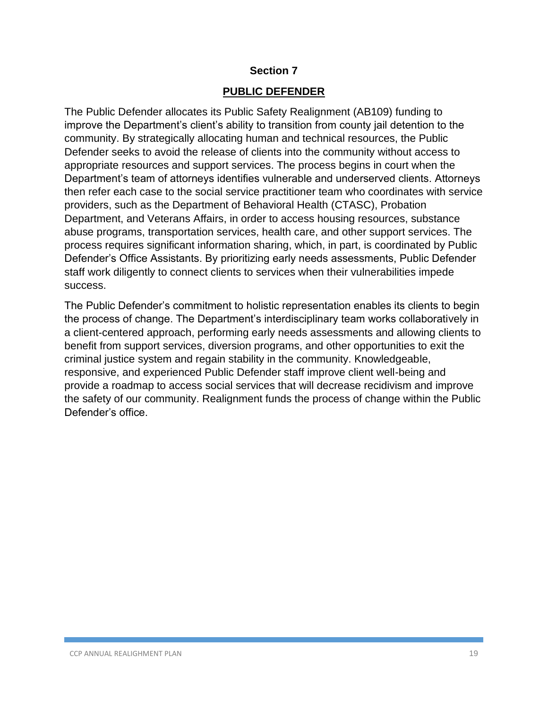## **PUBLIC DEFENDER**

The Public Defender allocates its Public Safety Realignment (AB109) funding to improve the Department's client's ability to transition from county jail detention to the community. By strategically allocating human and technical resources, the Public Defender seeks to avoid the release of clients into the community without access to appropriate resources and support services. The process begins in court when the Department's team of attorneys identifies vulnerable and underserved clients. Attorneys then refer each case to the social service practitioner team who coordinates with service providers, such as the Department of Behavioral Health (CTASC), Probation Department, and Veterans Affairs, in order to access housing resources, substance abuse programs, transportation services, health care, and other support services. The process requires significant information sharing, which, in part, is coordinated by Public Defender's Office Assistants. By prioritizing early needs assessments, Public Defender staff work diligently to connect clients to services when their vulnerabilities impede success.

The Public Defender's commitment to holistic representation enables its clients to begin the process of change. The Department's interdisciplinary team works collaboratively in a client-centered approach, performing early needs assessments and allowing clients to benefit from support services, diversion programs, and other opportunities to exit the criminal justice system and regain stability in the community. Knowledgeable, responsive, and experienced Public Defender staff improve client well-being and provide a roadmap to access social services that will decrease recidivism and improve the safety of our community. Realignment funds the process of change within the Public Defender's office.